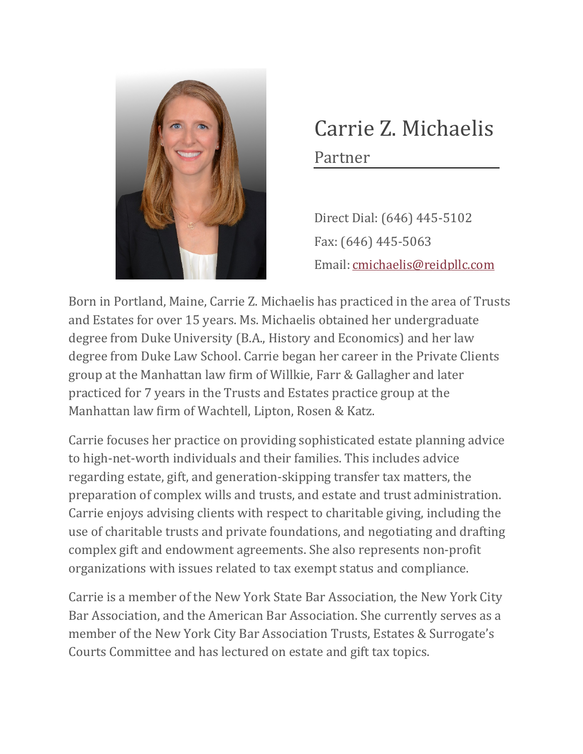

## Carrie Z. Michaelis Partner

Direct Dial: (646) 445-5102 Fax: (646) 445-5063 Email: [cmichaelis@reidpllc.com](mailto:cmichaelis@reidpllc.com)

Born in Portland, Maine, Carrie Z. Michaelis has practiced in the area of Trusts and Estates for over 15 years. Ms. Michaelis obtained her undergraduate degree from Duke University (B.A., History and Economics) and her law degree from Duke Law School. Carrie began her c[areer in the Private C](mailto:jreid@reidpllc.com)lients group at the Manhattan law firm of Willkie, Farr & Gallagher and later practiced for 7 years in the Trusts and Estates practice group at the Manhattan law firm of Wachtell, Lipton, Rosen & Katz.

Carrie focuses her practice on providing sophisticated estate planning advice to high-net-worth individuals and their families. This includes advice regarding estate, gift, and generation-skipping transfer tax matters, the preparation of complex wills and trusts, and estate and trust administration. Carrie enjoys advising clients with respect to charitable giving, including the use of charitable trusts and private foundations, and negotiating and drafting complex gift and endowment agreements. She also represents non-profit organizations with issues related to tax exempt status and compliance.

Carrie is a member of the New York State Bar Association, the New York City Bar Association, and the American Bar Association. She currently serves as a member of the New York City Bar Association Trusts, Estates & Surrogate's Courts Committee and has lectured on estate and gift tax topics.